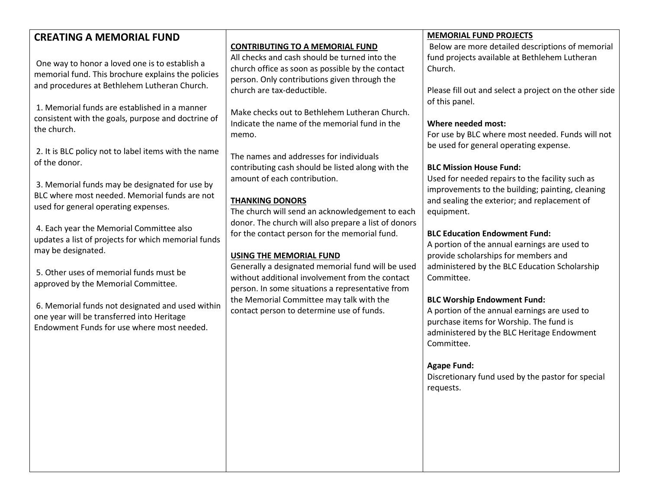| <b>CREATING A MEMORIAL FUND</b>                                                                                                         |                                                                                                         | <b>MEMORIAL FUND PROJECTS</b>                          |
|-----------------------------------------------------------------------------------------------------------------------------------------|---------------------------------------------------------------------------------------------------------|--------------------------------------------------------|
|                                                                                                                                         | <b>CONTRIBUTING TO A MEMORIAL FUND</b>                                                                  | Below are more detailed descriptions of memorial       |
|                                                                                                                                         | All checks and cash should be turned into the                                                           | fund projects available at Bethlehem Lutheran          |
| One way to honor a loved one is to establish a                                                                                          | church office as soon as possible by the contact                                                        | Church.                                                |
| memorial fund. This brochure explains the policies                                                                                      | person. Only contributions given through the                                                            |                                                        |
| and procedures at Bethlehem Lutheran Church.                                                                                            | church are tax-deductible.                                                                              | Please fill out and select a project on the other side |
| 1. Memorial funds are established in a manner                                                                                           |                                                                                                         | of this panel.                                         |
| consistent with the goals, purpose and doctrine of                                                                                      | Make checks out to Bethlehem Lutheran Church.                                                           |                                                        |
| the church.                                                                                                                             | Indicate the name of the memorial fund in the                                                           | Where needed most:                                     |
|                                                                                                                                         | memo.                                                                                                   | For use by BLC where most needed. Funds will not       |
| 2. It is BLC policy not to label items with the name                                                                                    |                                                                                                         | be used for general operating expense.                 |
| of the donor.                                                                                                                           | The names and addresses for individuals                                                                 |                                                        |
|                                                                                                                                         | contributing cash should be listed along with the                                                       | <b>BLC Mission House Fund:</b>                         |
| 3. Memorial funds may be designated for use by<br>BLC where most needed. Memorial funds are not<br>used for general operating expenses. | amount of each contribution.                                                                            | Used for needed repairs to the facility such as        |
|                                                                                                                                         |                                                                                                         | improvements to the building; painting, cleaning       |
|                                                                                                                                         | <b>THANKING DONORS</b>                                                                                  | and sealing the exterior; and replacement of           |
|                                                                                                                                         | The church will send an acknowledgement to each<br>donor. The church will also prepare a list of donors | equipment.                                             |
| 4. Each year the Memorial Committee also                                                                                                | for the contact person for the memorial fund.                                                           | <b>BLC Education Endowment Fund:</b>                   |
| updates a list of projects for which memorial funds                                                                                     |                                                                                                         | A portion of the annual earnings are used to           |
| may be designated.                                                                                                                      | <b>USING THE MEMORIAL FUND</b>                                                                          | provide scholarships for members and                   |
|                                                                                                                                         | Generally a designated memorial fund will be used                                                       | administered by the BLC Education Scholarship          |
| 5. Other uses of memorial funds must be                                                                                                 | without additional involvement from the contact                                                         | Committee.                                             |
| approved by the Memorial Committee.                                                                                                     | person. In some situations a representative from                                                        |                                                        |
|                                                                                                                                         | the Memorial Committee may talk with the                                                                | <b>BLC Worship Endowment Fund:</b>                     |
| 6. Memorial funds not designated and used within                                                                                        | contact person to determine use of funds.                                                               | A portion of the annual earnings are used to           |
| one year will be transferred into Heritage                                                                                              |                                                                                                         | purchase items for Worship. The fund is                |
| Endowment Funds for use where most needed.                                                                                              |                                                                                                         | administered by the BLC Heritage Endowment             |
|                                                                                                                                         |                                                                                                         | Committee.                                             |
|                                                                                                                                         |                                                                                                         |                                                        |
|                                                                                                                                         |                                                                                                         | <b>Agape Fund:</b>                                     |
|                                                                                                                                         |                                                                                                         | Discretionary fund used by the pastor for special      |
|                                                                                                                                         |                                                                                                         | requests.                                              |
|                                                                                                                                         |                                                                                                         |                                                        |
|                                                                                                                                         |                                                                                                         |                                                        |
|                                                                                                                                         |                                                                                                         |                                                        |
|                                                                                                                                         |                                                                                                         |                                                        |
|                                                                                                                                         |                                                                                                         |                                                        |
|                                                                                                                                         |                                                                                                         |                                                        |